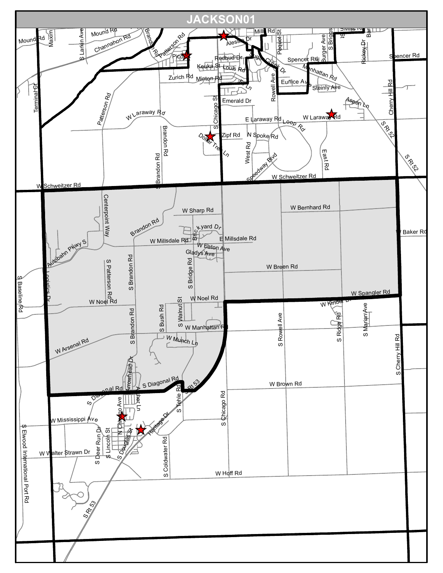